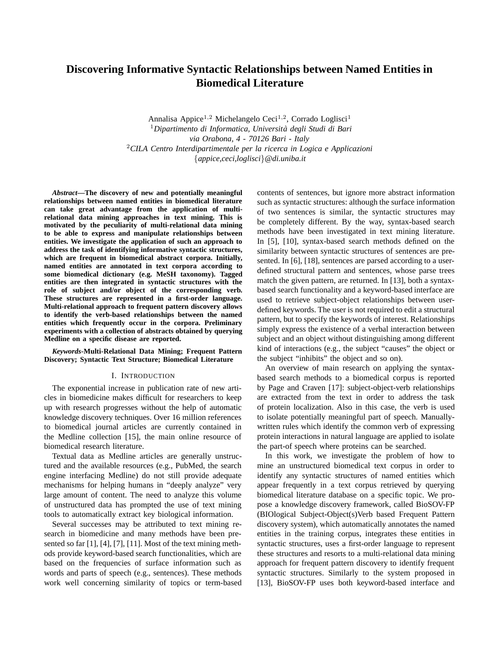# **Discovering Informative Syntactic Relationships between Named Entities in Biomedical Literature**

Annalisa Appice<sup>1,2</sup> Michelangelo Ceci<sup>1,2</sup>, Corrado Loglisci<sup>1</sup> <sup>1</sup>*Dipartimento di Informatica, Universita degli Studi di Bari ` via Orabona, 4 - 70126 Bari - Italy* <sup>2</sup>*CILA Centro Interdipartimentale per la ricerca in Logica e Applicazioni* {*appice,ceci,loglisci*}*@di.uniba.it*

*Abstract***—The discovery of new and potentially meaningful relationships between named entities in biomedical literature can take great advantage from the application of multirelational data mining approaches in text mining. This is motivated by the peculiarity of multi-relational data mining to be able to express and manipulate relationships between entities. We investigate the application of such an approach to address the task of identifying informative syntactic structures, which are frequent in biomedical abstract corpora. Initially, named entities are annotated in text corpora according to some biomedical dictionary (e.g. MeSH taxonomy). Tagged entities are then integrated in syntactic structures with the role of subject and/or object of the corresponding verb. These structures are represented in a first-order language. Multi-relational approach to frequent pattern discovery allows to identify the verb-based relationships between the named entities which frequently occur in the corpora. Preliminary experiments with a collection of abstracts obtained by querying Medline on a specific disease are reported.**

*Keywords***-Multi-Relational Data Mining; Frequent Pattern Discovery; Syntactic Text Structure; Biomedical Literature**

#### I. INTRODUCTION

The exponential increase in publication rate of new articles in biomedicine makes difficult for researchers to keep up with research progresses without the help of automatic knowledge discovery techniques. Over 16 million references to biomedical journal articles are currently contained in the Medline collection [15], the main online resource of biomedical research literature.

Textual data as Medline articles are generally unstructured and the available resources (e.g., PubMed, the search engine interfacing Medline) do not still provide adequate mechanisms for helping humans in "deeply analyze" very large amount of content. The need to analyze this volume of unstructured data has prompted the use of text mining tools to automatically extract key biological information.

Several successes may be attributed to text mining research in biomedicine and many methods have been presented so far [1], [4], [7], [11]. Most of the text mining methods provide keyword-based search functionalities, which are based on the frequencies of surface information such as words and parts of speech (e.g., sentences). These methods work well concerning similarity of topics or term-based contents of sentences, but ignore more abstract information such as syntactic structures: although the surface information of two sentences is similar, the syntactic structures may be completely different. By the way, syntax-based search methods have been investigated in text mining literature. In [5], [10], syntax-based search methods defined on the similarity between syntactic structures of sentences are presented. In [6], [18], sentences are parsed according to a userdefined structural pattern and sentences, whose parse trees match the given pattern, are returned. In [13], both a syntaxbased search functionality and a keyword-based interface are used to retrieve subject-object relationships between userdefined keywords. The user is not required to edit a structural pattern, but to specify the keywords of interest. Relationships simply express the existence of a verbal interaction between subject and an object without distinguishing among different kind of interactions (e.g., the subject "causes" the object or the subject "inhibits" the object and so on).

An overview of main research on applying the syntaxbased search methods to a biomedical corpus is reported by Page and Craven [17]: subject-object-verb relationships are extracted from the text in order to address the task of protein localization. Also in this case, the verb is used to isolate potentially meaningful part of speech. Manuallywritten rules which identify the common verb of expressing protein interactions in natural language are applied to isolate the part-of speech where proteins can be searched.

In this work, we investigate the problem of how to mine an unstructured biomedical text corpus in order to identify any syntactic structures of named entities which appear frequently in a text corpus retrieved by querying biomedical literature database on a specific topic. We propose a knowledge discovery framework, called BioSOV-FP (BIOlogical Subject-Object(s)Verb based Frequent Pattern discovery system), which automatically annotates the named entities in the training corpus, integrates these entities in syntactic structures, uses a first-order language to represent these structures and resorts to a multi-relational data mining approach for frequent pattern discovery to identify frequent syntactic structures. Similarly to the system proposed in [13], BioSOV-FP uses both keyword-based interface and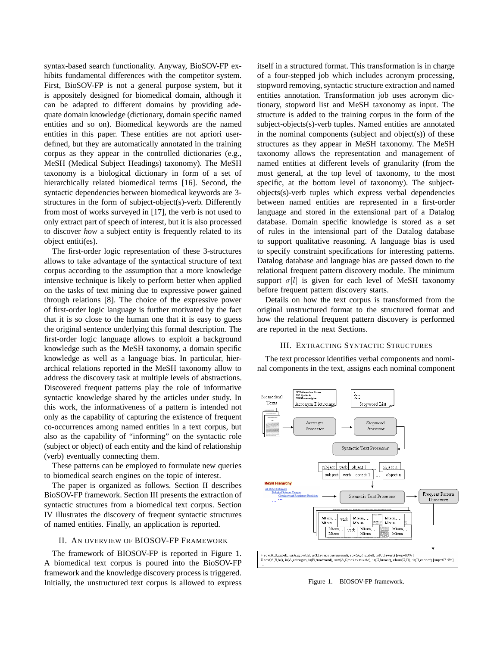syntax-based search functionality. Anyway, BioSOV-FP exhibits fundamental differences with the competitor system. First, BioSOV-FP is not a general purpose system, but it is appositely designed for biomedical domain, although it can be adapted to different domains by providing adequate domain knowledge (dictionary, domain specific named entities and so on). Biomedical keywords are the named entities in this paper. These entities are not apriori userdefined, but they are automatically annotated in the training corpus as they appear in the controlled dictionaries (e.g., MeSH (Medical Subject Headings) taxonomy). The MeSH taxonomy is a biological dictionary in form of a set of hierarchically related biomedical terms [16]. Second, the syntactic dependencies between biomedical keywords are 3 structures in the form of subject-object(s)-verb. Differently from most of works surveyed in [17], the verb is not used to only extract part of speech of interest, but it is also processed to discover *how* a subject entity is frequently related to its object entiti(es).

The first-order logic representation of these 3-structures allows to take advantage of the syntactical structure of text corpus according to the assumption that a more knowledge intensive technique is likely to perform better when applied on the tasks of text mining due to expressive power gained through relations [8]. The choice of the expressive power of first-order logic language is further motivated by the fact that it is so close to the human one that it is easy to guess the original sentence underlying this formal description. The first-order logic language allows to exploit a background knowledge such as the MeSH taxonomy, a domain specific knowledge as well as a language bias. In particular, hierarchical relations reported in the MeSH taxonomy allow to address the discovery task at multiple levels of abstractions. Discovered frequent patterns play the role of informative syntactic knowledge shared by the articles under study. In this work, the informativeness of a pattern is intended not only as the capability of capturing the existence of frequent co-occurrences among named entities in a text corpus, but also as the capability of "informing" on the syntactic role (subject or object) of each entity and the kind of relationship (verb) eventually connecting them.

These patterns can be employed to formulate new queries to biomedical search engines on the topic of interest.

The paper is organized as follows. Section II describes BioSOV-FP framework. Section III presents the extraction of syntactic structures from a biomedical text corpus. Section IV illustrates the discovery of frequent syntactic structures of named entities. Finally, an application is reported.

### II. AN OVERVIEW OF BIOSOV-FP FRAMEWORK

The framework of BIOSOV-FP is reported in Figure 1. A biomedical text corpus is poured into the BioSOV-FP framework and the knowledge discovery process is triggered. Initially, the unstructured text corpus is allowed to express

itself in a structured format. This transformation is in charge of a four-stepped job which includes acronym processing, stopword removing, syntactic structure extraction and named entities annotation. Transformation job uses acronym dictionary, stopword list and MeSH taxonomy as input. The structure is added to the training corpus in the form of the subject-objects(s)-verb tuples. Named entities are annotated in the nominal components (subject and object(s)) of these structures as they appear in MeSH taxonomy. The MeSH taxonomy allows the representation and management of named entities at different levels of granularity (from the most general, at the top level of taxonomy, to the most specific, at the bottom level of taxonomy). The subjectobjects(s)-verb tuples which express verbal dependencies between named entities are represented in a first-order language and stored in the extensional part of a Datalog database. Domain specific knowledge is stored as a set of rules in the intensional part of the Datalog database to support qualitative reasoning. A language bias is used to specify constraint specifications for interesting patterns. Datalog database and language bias are passed down to the relational frequent pattern discovery module. The minimum support  $\sigma[l]$  is given for each level of MeSH taxonomy before frequent pattern discovery starts.

Details on how the text corpus is transformed from the original unstructured format to the structured format and how the relational frequent pattern discovery is performed are reported in the next Sections.

## III. EXTRACTING SYNTACTIC STRUCTURES

The text processor identifies verbal components and nominal components in the text, assigns each nominal component



Figure 1. BIOSOV-FP framework.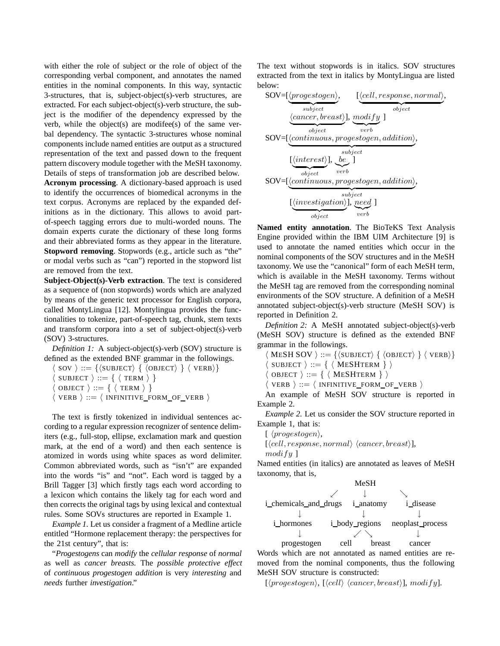with either the role of subject or the role of object of the corresponding verbal component, and annotates the named entities in the nominal components. In this way, syntactic 3-structures, that is, subject-object(s)-verb structures, are extracted. For each subject-object(s)-verb structure, the subject is the modifier of the dependency expressed by the verb, while the object(s) are modifee(s) of the same verbal dependency. The syntactic 3-structures whose nominal components include named entities are output as a structured representation of the text and passed down to the frequent pattern discovery module together with the MeSH taxonomy. Details of steps of transformation job are described below.

**Acronym processing**. A dictionary-based approach is used to identify the occurrences of biomedical acronyms in the text corpus. Acronyms are replaced by the expanded definitions as in the dictionary. This allows to avoid partof-speech tagging errors due to multi-worded nouns. The domain experts curate the dictionary of these long forms and their abbreviated forms as they appear in the literature. **Stopword removing**. Stopwords (e.g., article such as "the" or modal verbs such as "can") reported in the stopword list are removed from the text.

**Subject-Object(s)-Verb extraction**. The text is considered as a sequence of (non stopwords) words which are analyzed by means of the generic text processor for English corpora, called MontyLingua [12]. Montylingua provides the functionalities to tokenize, part-of-speech tag, chunk, stem texts and transform corpora into a set of subject-object(s)-verb (SOV) 3-structures.

*Definition 1:* A subject-object(s)-verb (SOV) structure is defined as the extended BNF grammar in the followings.

 $\langle$  SOV  $\rangle ::= \{\langle \text{SUBJECT} \rangle \} \langle \text{OBJECT} \rangle \} \langle \text{VERB} \rangle$  $\langle$  SUBJECT  $\rangle ::= \{ \langle$  TERM  $\rangle \}$  $\langle$  OBJECT  $\rangle ::= \{ \langle$  TERM  $\rangle \}$  $\langle$  VERB  $\rangle ::= \langle$  INFINITIVE\_FORM\_OF\_VERB  $\rangle$ 

The text is firstly tokenized in individual sentences according to a regular expression recognizer of sentence delimiters (e.g., full-stop, ellipse, exclamation mark and question mark, at the end of a word) and then each sentence is atomized in words using white spaces as word delimiter. Common abbreviated words, such as "isn't" are expanded into the words "is" and "not". Each word is tagged by a Brill Tagger [3] which firstly tags each word according to a lexicon which contains the likely tag for each word and then corrects the original tags by using lexical and contextual rules. Some SOVs structures are reported in Example 1.

*Example 1.* Let us consider a fragment of a Medline article entitled "Hormone replacement therapy: the perspectives for the 21st century", that is:

"*Progestogens* can *modify* the *cellular response* of *normal* as well as *cancer breasts.* The *possible protective effect* of *continuous progestogen addition* is very *interesting* and *needs* further *investigation*."

The text without stopwords is in italics. SOV structures extracted from the text in italics by MontyLingua are listed below:

$$
SOV=[\underbrace{\langle progenbgen\rangle,}_{\stackrel{subject}{\langle cancer, breast\rangle}],}_{\stackrel{object}{\langle cancer, breast\rangle}],~\stackrel{localfy}{\langle order,\\ \stackrel{object}{\langle center, present\rangle}],}_{\stackrel{subject}{\langle interest\rangle},\\ \underbrace{\langle interest\rangle,}_{\stackrel{subject}{\langle interest\rangle}}}, \underbrace{\underbrace{\langle interest\rangle,}_{\stackrel{subject}{\langle interest\rangle}}}_{\stackrel{inbrect}{\langle contruous, progen, addition\rangle},\\ \underbrace{\langle investigation\rangle,}_{\stackrel{subject}{\langle interest\rangle}}}, \underbrace{\langle interest\rangle,}_{\stackrel{subject}{\langle interest\rangle}}]
$$

**Named entity annotation**. The BioTeKS Text Analysis Engine provided within the IBM UIM Architecture [9] is used to annotate the named entities which occur in the nominal components of the SOV structures and in the MeSH taxonomy. We use the "canonical" form of each MeSH term, which is available in the MeSH taxonomy. Terms without the MeSH tag are removed from the corresponding nominal environments of the SOV structure. A definition of a MeSH annotated subject-object(s)-verb structure (MeSH SOV) is reported in Definition 2.

*Definition 2:* A MeSH annotated subject-object(s)-verb (MeSH SOV) structure is defined as the extended BNF grammar in the followings.

$$
\langle \text{ MESH SOV } \rangle ::= \{ \langle \text{SUBIECT} \rangle \} \langle \text{OBIECT} \rangle \} \langle \text{ VERB} \rangle
$$
  

$$
\langle \text{ SUBIECT } \rangle ::= \{ \langle \text{ MESHTERM } \} \rangle
$$

 $\langle$  OBJECT  $\rangle ::= \{ \langle$  MESHTERM  $\rangle$   $\rangle$ 

 $\langle$  VERB  $\rangle ::= \langle$  INFINITIVE\_FORM\_OF\_VERB  $\rangle$ 

An example of MeSH SOV structure is reported in Example 2.

*Example 2.* Let us consider the SOV structure reported in Example 1, that is:

 $[ \ \langle progen, \rangle,$ 

 $[\langle cell, response, normal \rangle \langle cancer, breast \rangle],$  $modify$ ]

Named entities (in italics) are annotated as leaves of MeSH taxonomy, that is,



Words which are not annotated as named entities are removed from the nominal components, thus the following MeSH SOV structure is constructed:

 $[\langle progen\rangle, [\langle cell\rangle \langle cancer, breast\rangle],\, modify].$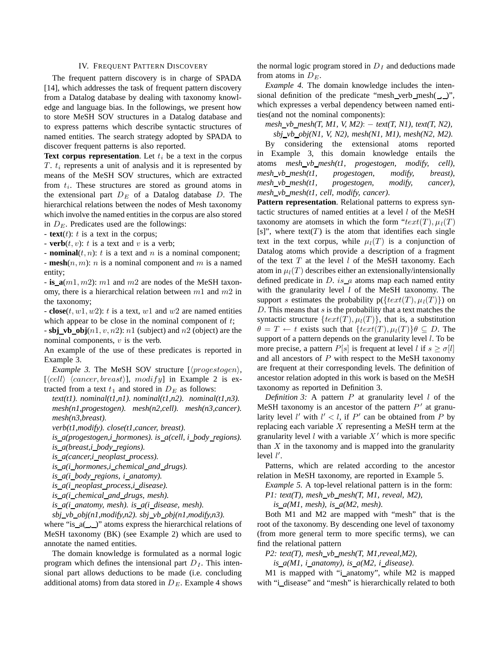## IV. FREQUENT PATTERN DISCOVERY

The frequent pattern discovery is in charge of SPADA [14], which addresses the task of frequent pattern discovery from a Datalog database by dealing with taxonomy knowledge and language bias. In the followings, we present how to store MeSH SOV structures in a Datalog database and to express patterns which describe syntactic structures of named entities. The search strategy adopted by SPADA to discover frequent patterns is also reported.

**Text corpus representation.** Let  $t_i$  be a text in the corpus  $T_t$ .  $t_i$  represents a unit of analysis and it is represented by means of the MeSH SOV structures, which are extracted from  $t_i$ . These structures are stored as ground atoms in the extensional part D*<sup>E</sup>* of a Datalog database D. The hierarchical relations between the nodes of Mesh taxonomy which involve the named entities in the corpus are also stored in D*E*. Predicates used are the followings:

- **text**(*t*): *t* is a text in the corpus;

- **verb** $(t, v)$ : t is a text and v is a verb;

- **nominal** $(t, n)$ : t is a text and n is a nominal component; -  $\mathbf{mesh}(n, m)$ : *n* is a nominal component and *m* is a named entity;

- **is a**(m1, m2): m1 and m2 are nodes of the MeSH taxonomy, there is a hierarchical relation between  $m1$  and  $m2$  in the taxonomy;

 $\text{-} \textbf{close}(t, w1, w2)$ : t is a text, w1 and w2 are named entities which appear to be close in the nominal component of  $t$ ;

 $\bullet$  **sbj\_vb\_obj** $(n1, v, n2)$ : n1 (subject) and n2 (object) are the nominal components,  $v$  is the verb.

An example of the use of these predicates is reported in Example 3.

*Example 3.* The MeSH SOV structure  $[\langle progen\rangle,$  $[\langle cell \rangle \ \langle cancer, breast \rangle], \ modify]$  in Example 2 is extracted from a text  $t_1$  and stored in  $D_E$  as follows:

*text(t1). nominal(t1,n1). nominal(t1,n2). nominal(t1,n3). mesh(n1,progestogen). mesh(n2,cell). mesh(n3,cancer). mesh(n3,breast).*

*verb(t1,modify). close(t1,cancer, breast).*

*is a(progestogen,i hormones). is a(cell, i body regions). is a(breast,i body regions).*

*is a(cancer,i neoplast process).*

*is a(i hormones,i chemical and drugs).*

*is a(i body regions, i anatomy).*

*is a(i neoplast process,i disease).*

*is a(i chemical and drugs, mesh).*

*is a(i anatomy, mesh). is a(i disease, mesh).*

*sbj vb obj(n1,modify,n2). sbj vb obj(n1,modify,n3).*

where "is\_a( $\Box$ )" atoms express the hierarchical relations of MeSH taxonomy (BK) (see Example 2) which are used to annotate the named entities.

The domain knowledge is formulated as a normal logic program which defines the intensional part  $D<sub>I</sub>$ . This intensional part allows deductions to be made (i.e. concluding additional atoms) from data stored in D*E*. Example 4 shows the normal logic program stored in  $D_I$  and deductions made from atoms in  $D_E$ .

*Example 4.* The domain knowledge includes the intensional definition of the predicate "mesh verb mesh $(\square)$ ", which expresses a verbal dependency between named entities(and not the nominal components):

*mesh vb mesh(T, M1, V, M2)*: − *text(T, N1), text(T, N2),*

*sbj vb obj(N1, V, N2), mesh(N1, M1), mesh(N2, M2).*

By considering the extensional atoms reported in Example 3, this domain knowledge entails the atoms *mesh vb mesh(t1, progestogen, modify, cell)*, *mesh vb mesh(t1, progestogen, modify, breast)*, *mesh vb mesh(t1, progestogen, modify, cancer)*, *mesh vb mesh(t1, cell, modify, cancer)*.

**Pattern representation**. Relational patterns to express syntactic structures of named entities at a level l of the MeSH taxonomy are atomsets in which the form " $text(T)$ ,  $\mu_l(T)$ [s]", where  $text(T)$  is the atom that identifies each single text in the text corpus, while  $\mu_l(T)$  is a conjunction of Datalog atoms which provide a description of a fragment of the text  $T$  at the level  $l$  of the MeSH taxonomy. Each atom in  $\mu_l(T)$  describes either an extensionally/intensionally defined predicate in  $D.$  is  $a$  atoms map each named entity with the granularity level *l* of the MeSH taxonomy. The support s estimates the probability  $p({text{text}(T), \mu_l(T)})$  on  $D$ . This means that s is the probability that a text matches the syntactic structure  $\{text(T), \mu_l(T)\}$ , that is, a substitution  $\theta = T \leftarrow t$  exists such that  $\{text(T), \mu_l(T)\}\theta \subseteq D$ . The support of a pattern depends on the granularity level  $l$ . To be more precise, a pattern  $P[s]$  is frequent at level l if  $s \geq \sigma[l]$ and all ancestors of  $P$  with respect to the MeSH taxonomy are frequent at their corresponding levels. The definition of ancestor relation adopted in this work is based on the MeSH taxonomy as reported in Definition 3.

*Definition 3:* A pattern  $P$  at granularity level  $l$  of the MeSH taxonomy is an ancestor of the pattern  $P'$  at granularity level l' with  $l' < l$ , if P' can be obtained from P by replacing each variable  $X$  representing a MeSH term at the granularity level  $l$  with a variable  $X'$  which is more specific than  $X$  in the taxonomy and is mapped into the granularity level  $l'$ .

Patterns, which are related according to the ancestor relation in MeSH taxonomy, are reported in Example 5.

*Example 5.* A top-level relational pattern is in the form:

*P1: text(T), mesh vb mesh(T, M1, reveal, M2),*

*is a(M1, mesh), is a(M2, mesh)*.

Both M1 and M2 are mapped with "mesh" that is the root of the taxonomy. By descending one level of taxonomy (from more general term to more specific terms), we can find the relational pattern

*P2: text(T), mesh vb mesh(T, M1,reveal,M2),*

*is a(M1, i anatomy), is a(M2, i disease)*.

M1 is mapped with "i anatomy", while M2 is mapped with "i\_disease" and "mesh" is hierarchically related to both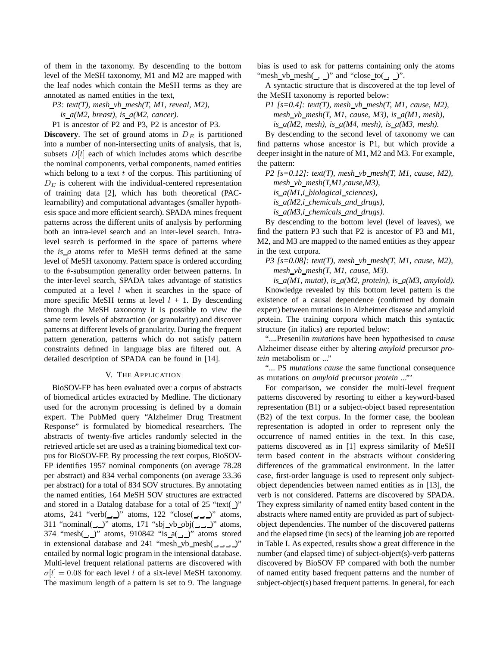of them in the taxonomy. By descending to the bottom level of the MeSH taxonomy, M1 and M2 are mapped with the leaf nodes which contain the MeSH terms as they are annotated as named entities in the text,

*P3: text(T), mesh vb mesh(T, M1, reveal, M2),*

*is a(M2, breast), is a(M2, cancer).*

P1 is ancestor of P2 and P3, P2 is ancestor of P3.

**Discovery**. The set of ground atoms in  $D<sub>E</sub>$  is partitioned into a number of non-intersecting units of analysis, that is, subsets  $D[t]$  each of which includes atoms which describe the nominal components, verbal components, named entities which belong to a text  $t$  of the corpus. This partitioning of  $D<sub>E</sub>$  is coherent with the individual-centered representation of training data [2], which has both theoretical (PAClearnability) and computational advantages (smaller hypothesis space and more efficient search). SPADA mines frequent patterns across the different units of analysis by performing both an intra-level search and an inter-level search. Intralevel search is performed in the space of patterns where the *is a* atoms refer to MeSH terms defined at the same level of MeSH taxonomy. Pattern space is ordered according to the  $\theta$ -subsumption generality order between patterns. In the inter-level search, SPADA takes advantage of statistics computed at a level  $l$  when it searches in the space of more specific MeSH terms at level  $l + 1$ . By descending through the MeSH taxonomy it is possible to view the same term levels of abstraction (or granularity) and discover patterns at different levels of granularity. During the frequent pattern generation, patterns which do not satisfy pattern constraints defined in language bias are filtered out. A detailed description of SPADA can be found in [14].

## V. THE APPLICATION

BioSOV-FP has been evaluated over a corpus of abstracts of biomedical articles extracted by Medline. The dictionary used for the acronym processing is defined by a domain expert. The PubMed query "Alzheimer Drug Treatment Response" is formulated by biomedical researchers. The abstracts of twenty-five articles randomly selected in the retrieved article set are used as a training biomedical text corpus for BioSOV-FP. By processing the text corpus, BioSOV-FP identifies 1957 nominal components (on average 78.28 per abstract) and 834 verbal components (on average 33.36 per abstract) for a total of 834 SOV structures. By annotating the named entities, 164 MeSH SOV structures are extracted and stored in a Datalog database for a total of  $25$  "text( $\cup$ " atoms, 241 "verb $(\square)$ " atoms, 122 "close $(\square)$ " atoms, 311 "nominal( $\Box$ )" atoms, 171 "sbj $\underline{\hspace{1mm}}$ vb $\underline{\hspace{1mm}}$ obj( $\underline{\hspace{1mm}}$ ,  $\Box$ )" atoms, 374 "mesh $(\_,\_)$ " atoms, 910842 "is  $a(\_,\_)$ " atoms stored in extensional database and 241 "mesh\_vb\_mesh $(\square \square \square)'$ " entailed by normal logic program in the intensional database. Multi-level frequent relational patterns are discovered with  $\sigma[l]=0.08$  for each level l of a six-level MeSH taxonomy. The maximum length of a pattern is set to 9. The language

bias is used to ask for patterns containing only the atoms "mesh\_vb\_mesh $(\_, \_)$ " and "close\_to $(\_, \_)$ ".

A syntactic structure that is discovered at the top level of the MeSH taxonomy is reported below:

*P1 [s=0.4]: text(T), mesh vb mesh(T, M1, cause, M2), mesh vb mesh(T, M1, cause, M3), is a(M1, mesh), is a(M2, mesh), is a(M4, mesh), is a(M3, mesh).*

By descending to the second level of taxonomy we can find patterns whose ancestor is P1, but which provide a deeper insight in the nature of M1, M2 and M3. For example, the pattern:

*P2 [s=0.12]: text(T), mesh vb mesh(T, M1, cause, M2), mesh vb mesh(T,M1,cause,M3), is a(M1,i biological sciences), is a(M2,i chemicals and drugs), is a(M3,i chemicals and drugs).*

By descending to the bottom level (level of leaves), we find the pattern P3 such that P2 is ancestor of P3 and M1, M2, and M3 are mapped to the named entities as they appear in the text corpora.

*P3 [s=0.08]: text(T), mesh vb mesh(T, M1, cause, M2), mesh vb mesh(T, M1, cause, M3).*

*is a(M1, mutat), is a(M2, protein), is a(M3, amyloid).* Knowledge revealed by this bottom level pattern is the existence of a causal dependence (confirmed by domain expert) between mutations in Alzheimer disease and amyloid protein. The training corpora which match this syntactic structure (in italics) are reported below:

"....Presenilin *mutations* have been hypothesised to *cause* Alzheimer disease either by altering *amyloid* precursor *protein* metabolism or ..."

"... PS *mutations cause* the same functional consequence as mutations on *amyloid* precursor *protein* ..."'

For comparison, we consider the multi-level frequent patterns discovered by resorting to either a keyword-based representation (B1) or a subject-object based representation (B2) of the text corpus. In the former case, the boolean representation is adopted in order to represent only the occurrence of named entities in the text. In this case, patterns discovered as in [1] express similarity of MeSH term based content in the abstracts without considering differences of the grammatical environment. In the latter case, first-order language is used to represent only subjectobject dependencies between named entities as in [13], the verb is not considered. Patterns are discovered by SPADA. They express similarity of named entity based content in the abstracts where named entity are provided as part of subjectobject dependencies. The number of the discovered patterns and the elapsed time (in secs) of the learning job are reported in Table I. As expected, results show a great difference in the number (and elapsed time) of subject-object(s)-verb patterns discovered by BioSOV FP compared with both the number of named entity based frequent patterns and the number of subject-object(s) based frequent patterns. In general, for each